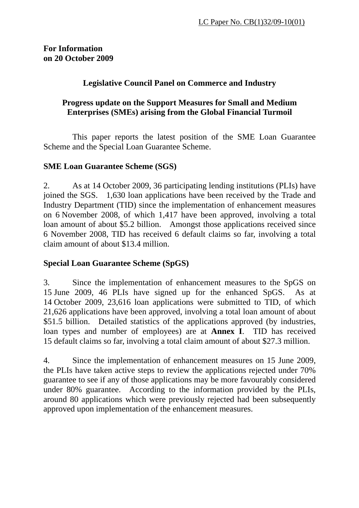### **Legislative Council Panel on Commerce and Industry**

### **Progress update on the Support Measures for Small and Medium Enterprises (SMEs) arising from the Global Financial Turmoil**

 This paper reports the latest position of the SME Loan Guarantee Scheme and the Special Loan Guarantee Scheme.

### **SME Loan Guarantee Scheme (SGS)**

2. As at 14 October 2009, 36 participating lending institutions (PLIs) have joined the SGS. 1,630 loan applications have been received by the Trade and Industry Department (TID) since the implementation of enhancement measures on 6 November 2008, of which 1,417 have been approved, involving a total loan amount of about \$5.2 billion. Amongst those applications received since 6 November 2008, TID has received 6 default claims so far, involving a total claim amount of about \$13.4 million.

### **Special Loan Guarantee Scheme (SpGS)**

3. Since the implementation of enhancement measures to the SpGS on 15 June 2009, 46 PLIs have signed up for the enhanced SpGS. As at 14 October 2009, 23,616 loan applications were submitted to TID, of which 21,626 applications have been approved, involving a total loan amount of about \$51.5 billion. Detailed statistics of the applications approved (by industries, loan types and number of employees) are at **Annex I**. TID has received 15 default claims so far, involving a total claim amount of about \$27.3 million.

4. Since the implementation of enhancement measures on 15 June 2009, the PLIs have taken active steps to review the applications rejected under 70% guarantee to see if any of those applications may be more favourably considered under 80% guarantee. According to the information provided by the PLIs, around 80 applications which were previously rejected had been subsequently approved upon implementation of the enhancement measures.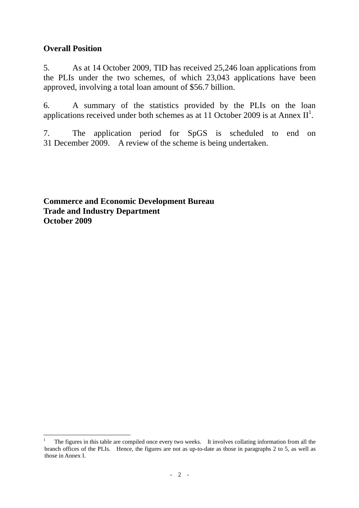### **Overall Position**

5. As at 14 October 2009, TID has received 25,246 loan applications from the PLIs under the two schemes, of which 23,043 applications have been approved, involving a total loan amount of \$56.7 billion.

6. A summary of the statistics provided by the PLIs on the loan applications received under both schemes as at [1](#page-1-0)1 October 2009 is at Annex  $II^1$ .

7. The application period for SpGS is scheduled to end on 31 December 2009. A review of the scheme is being undertaken.

**Commerce and Economic Development Bureau Trade and Industry Department October 2009**

<span id="page-1-0"></span> $\overline{a}$ <sup>1</sup> The figures in this table are compiled once every two weeks. It involves collating information from all the branch offices of the PLIs. Hence, the figures are not as up-to-date as those in paragraphs 2 to 5, as well as those in Annex I.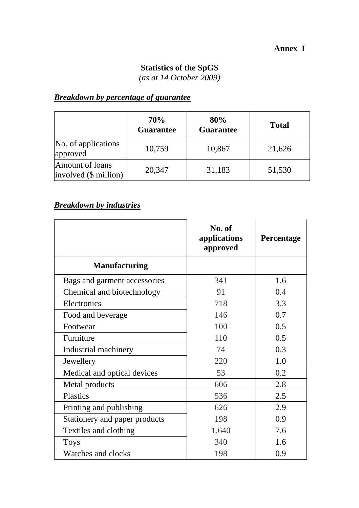### **Annex I**

### **Statistics of the SpGS**

*(as at 14 October 2009)* 

## *Breakdown by percentage of guarantee*

|                                          | <b>70%</b><br><b>Guarantee</b> | 80%<br><b>Guarantee</b> | <b>Total</b> |
|------------------------------------------|--------------------------------|-------------------------|--------------|
| No. of applications<br>approved          | 10,759                         | 10,867                  | 21,626       |
| Amount of loans<br>involved (\$ million) | 20,347                         | 31,183                  | 51,530       |

## *Breakdown by industries*

|                               | No. of<br>applications<br>approved | Percentage |
|-------------------------------|------------------------------------|------------|
| <b>Manufacturing</b>          |                                    |            |
| Bags and garment accessories  | 341                                | 1.6        |
| Chemical and biotechnology    | 91                                 | 0.4        |
| Electronics                   | 718                                | 3.3        |
| Food and beverage             | 146                                | 0.7        |
| Footwear                      | 100                                | 0.5        |
| Furniture                     | 110                                | 0.5        |
| Industrial machinery          | 74                                 | 0.3        |
| Jewellery                     | 220                                | 1.0        |
| Medical and optical devices   | 53                                 | 0.2        |
| Metal products                | 606                                | 2.8        |
| <b>Plastics</b>               | 536                                | 2.5        |
| Printing and publishing       | 626                                | 2.9        |
| Stationery and paper products | 198                                | 0.9        |
| Textiles and clothing         | 1,640                              | 7.6        |
| <b>Toys</b>                   | 340                                | 1.6        |
| Watches and clocks            | 198                                | 0.9        |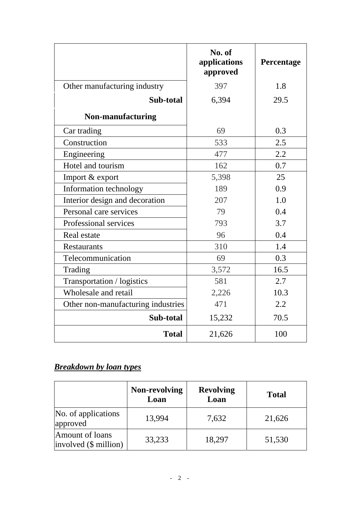|                                    | No. of<br>applications<br>approved | Percentage |
|------------------------------------|------------------------------------|------------|
| Other manufacturing industry       | 397                                | 1.8        |
| Sub-total                          | 6,394                              | 29.5       |
| Non-manufacturing                  |                                    |            |
| Car trading                        | 69                                 | 0.3        |
| Construction                       | 533                                | 2.5        |
| Engineering                        | 477                                | 2.2        |
| Hotel and tourism                  | 162                                | 0.7        |
| Import & export                    | 5,398                              | 25         |
| Information technology             | 189                                | 0.9        |
| Interior design and decoration     | 207                                | 1.0        |
| Personal care services             | 79                                 | 0.4        |
| Professional services              | 793                                | 3.7        |
| Real estate                        | 96                                 | 0.4        |
| <b>Restaurants</b>                 | 310                                | 1.4        |
| Telecommunication                  | 69                                 | 0.3        |
| Trading                            | 3,572                              | 16.5       |
| Transportation / logistics         | 581                                | 2.7        |
| Wholesale and retail               | 2,226                              | 10.3       |
| Other non-manufacturing industries | 471                                | 2.2        |
| Sub-total                          | 15,232                             | 70.5       |
| <b>Total</b>                       | 21,626                             | 100        |

## *Breakdown by loan types*

|                                            | <b>Non-revolving</b><br>Loan | <b>Revolving</b><br>Loan | <b>Total</b> |
|--------------------------------------------|------------------------------|--------------------------|--------------|
| No. of applications<br>approved            | 13,994                       | 7,632                    | 21,626       |
| Amount of loans<br>$involved$ (\$ million) | 33,233                       | 18,297                   | 51,530       |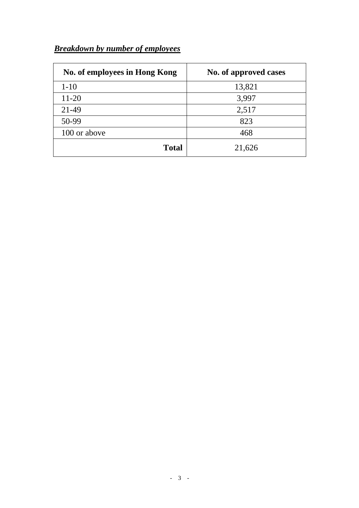# *Breakdown by number of employees*

| No. of employees in Hong Kong | No. of approved cases |
|-------------------------------|-----------------------|
| $1 - 10$                      | 13,821                |
| $11 - 20$                     | 3,997                 |
| 21-49                         | 2,517                 |
| 50-99                         | 823                   |
| 100 or above                  | 468                   |
| <b>Total</b>                  | 21,626                |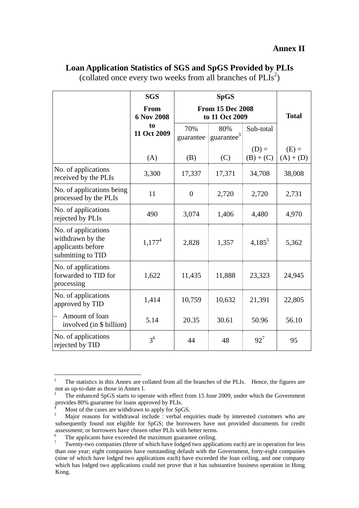|                                                                                   | <b>SGS</b>         |                                           | <b>SpGS</b>                   |                        |                        |
|-----------------------------------------------------------------------------------|--------------------|-------------------------------------------|-------------------------------|------------------------|------------------------|
|                                                                                   | From<br>6 Nov 2008 | <b>From 15 Dec 2008</b><br>to 11 Oct 2009 |                               | <b>Total</b>           |                        |
|                                                                                   | to<br>11 Oct 2009  | 70%<br>guarantee                          | 80%<br>guarantee <sup>3</sup> | Sub-total              |                        |
|                                                                                   | (A)                | (B)                                       | (C)                           | $(D) =$<br>$(B) + (C)$ | $(E) =$<br>$(A) + (D)$ |
| No. of applications<br>received by the PLIs                                       | 3,300              | 17,337                                    | 17,371                        | 34,708                 | 38,008                 |
| No. of applications being<br>processed by the PLIs                                | 11                 | $\overline{0}$                            | 2,720                         | 2,720                  | 2,731                  |
| No. of applications<br>rejected by PLIs                                           | 490                | 3,074                                     | 1,406                         | 4,480                  | 4,970                  |
| No. of applications<br>withdrawn by the<br>applicants before<br>submitting to TID | $1,177^4$          | 2,828                                     | 1,357                         | $4,185^5$              | 5,362                  |
| No. of applications<br>forwarded to TID for<br>processing                         | 1,622              | 11,435                                    | 11,888                        | 23,323                 | 24,945                 |
| No. of applications<br>approved by TID                                            | 1,414              | 10,759                                    | 10,632                        | 21,391                 | 22,805                 |
| Amount of loan<br>involved (in \$ billion)                                        | 5.14               | 20.35                                     | 30.61                         | 50.96                  | 56.10                  |
| No. of applications<br>rejected by TID                                            | 3 <sup>6</sup>     | 44                                        | 48                            | $92^{7}$               | 95                     |

#### **Loan Application Statistics of SGS and SpGS Provided by PLIs**

(collated once every two weeks from all branches of  $PLIs^2$  $PLIs^2$ )

<span id="page-5-0"></span> $\frac{1}{2}$  The statistics in this Annex are collated from all the branches of the PLIs. Hence, the figures are not as up-to-date as those in Annex I.

<span id="page-5-1"></span><sup>3</sup> The enhanced SpGS starts to operate with effect from 15 June 2009, under which the Government provides 80% guarantee for loans approved by PLIs.

<span id="page-5-2"></span> $\frac{4}{5}$  Most of the cases are withdrawn to apply for SpGS.<br>Moior reasons for withdrawal include : werbal one

<span id="page-5-3"></span>Major reasons for withdrawal include : verbal enquiries made by interested customers who are subsequently found not eligible for SpGS; the borrowers have not provided documents for credit assessment; or borrowers have chosen other PLIs with better terms.<br><sup>6</sup> The employees have avaseded the maximum guarantee esiling

<span id="page-5-4"></span>The applicants have exceeded the maximum guarantee ceiling.

<span id="page-5-5"></span><sup>7</sup> Twenty-two companies (three of which have lodged two applications each) are in operation for less than one year; eight companies have outstanding default with the Government, forty-eight companies (nine of which have lodged two applications each) have exceeded the loan ceiling, and one company which has lodged two applications could not prove that it has substantive business operation in Hong Kong.